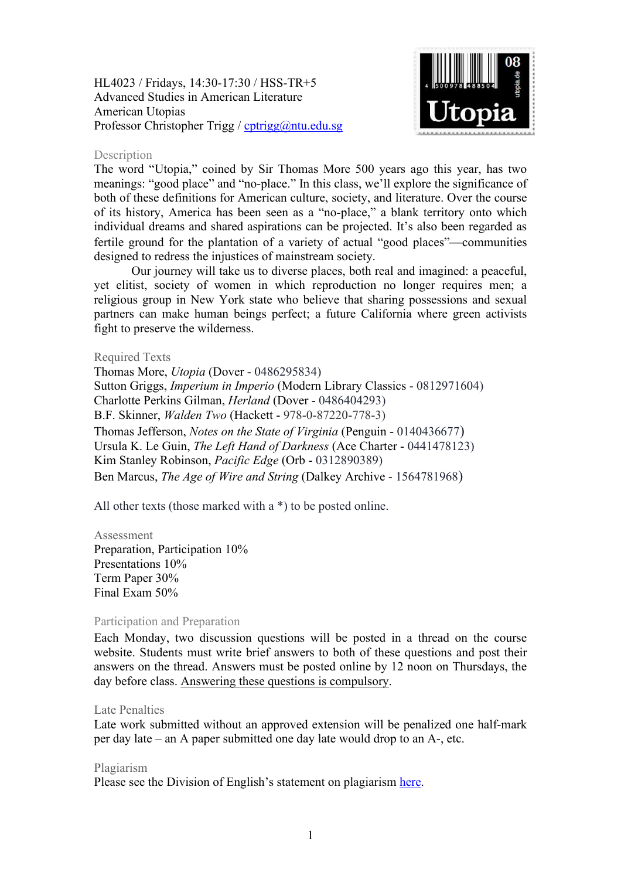HL4023 / Fridays, 14:30-17:30 / HSS-TR+5 Advanced Studies in American Literature American Utopias Professor Christopher Trigg / [cptrigg@ntu.edu.sg](mailto:cptrigg@ntu.edu.sg)



### Description

The word "Utopia," coined by Sir Thomas More 500 years ago this year, has two meanings: "good place" and "no-place." In this class, we'll explore the significance of both of these definitions for American culture, society, and literature. Over the course of its history, America has been seen as a "no-place," a blank territory onto which individual dreams and shared aspirations can be projected. It's also been regarded as fertile ground for the plantation of a variety of actual "good places"—communities designed to redress the injustices of mainstream society.

Our journey will take us to diverse places, both real and imagined: a peaceful, yet elitist, society of women in which reproduction no longer requires men; a religious group in New York state who believe that sharing possessions and sexual partners can make human beings perfect; a future California where green activists fight to preserve the wilderness.

## Required Texts

Thomas More, *Utopia* (Dover - 0486295834) Sutton Griggs, *Imperium in Imperio* (Modern Library Classics - 0812971604) Charlotte Perkins Gilman, *Herland* (Dover - 0486404293) B.F. Skinner, *Walden Two* (Hackett - 978-0-87220-778-3) Thomas Jefferson, *Notes on the State of Virginia* (Penguin - 0140436677) Ursula K. Le Guin, *The Left Hand of Darkness* (Ace Charter - 0441478123) Kim Stanley Robinson, *Pacific Edge* (Orb - 0312890389) Ben Marcus, *The Age of Wire and String* (Dalkey Archive - 1564781968)

All other texts (those marked with a \*) to be posted online.

#### Assessment

Preparation, Participation 10% Presentations 10% Term Paper 30% Final Exam 50%

#### Participation and Preparation

Each Monday, two discussion questions will be posted in a thread on the course website. Students must write brief answers to both of these questions and post their answers on the thread. Answers must be posted online by 12 noon on Thursdays, the day before class. Answering these questions is compulsory.

#### Late Penalties

Late work submitted without an approved extension will be penalized one half-mark per day late – an A paper submitted one day late would drop to an A-, etc.

#### Plagiarism

Please see the Division of English's statement on plagiarism [here.](http://www.soh.ntu.edu.sg/Programmes/Undergraduate/current/Pages/forms.aspx)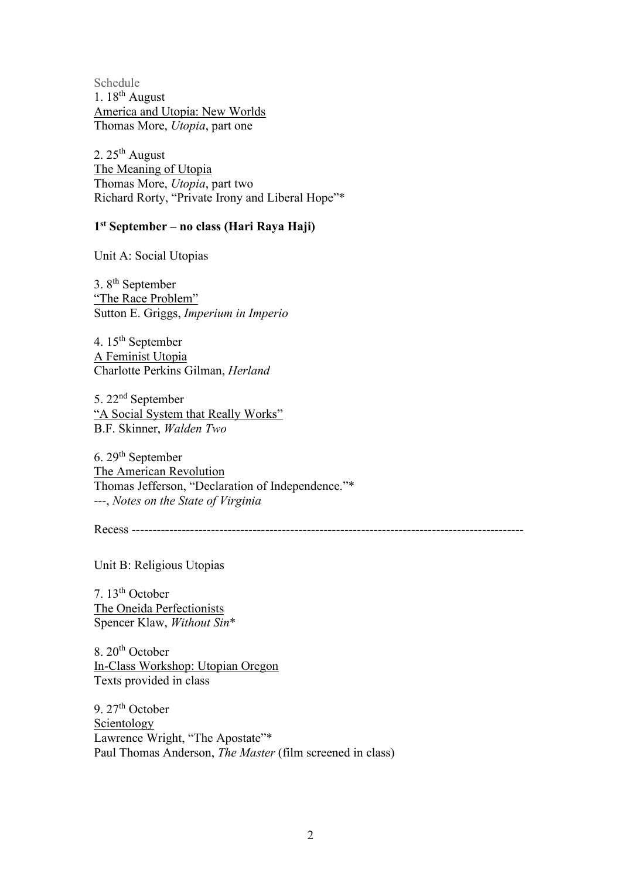Schedule 1.  $18^{th}$  August America and Utopia: New Worlds Thomas More, *Utopia*, part one

2.  $25<sup>th</sup>$  August The Meaning of Utopia Thomas More, *Utopia*, part two Richard Rorty, "Private Irony and Liberal Hope"\*

# **1st September – no class (Hari Raya Haji)**

Unit A: Social Utopias

3. 8th September "The Race Problem" Sutton E. Griggs, *Imperium in Imperio*

4. 15th September A Feminist Utopia Charlotte Perkins Gilman, *Herland*

5. 22nd September "A Social System that Really Works" B.F. Skinner, *Walden Two*

6. 29th September The American Revolution Thomas Jefferson, "Declaration of Independence."\* ---, *Notes on the State of Virginia*

Recess -----------------

Unit B: Religious Utopias

7. 13th October The Oneida Perfectionists Spencer Klaw, *Without Sin*\*

 $8.20<sup>th</sup>$  October In-Class Workshop: Utopian Oregon Texts provided in class

9.  $27<sup>th</sup>$  October Scientology Lawrence Wright, "The Apostate"\* Paul Thomas Anderson, *The Master* (film screened in class)